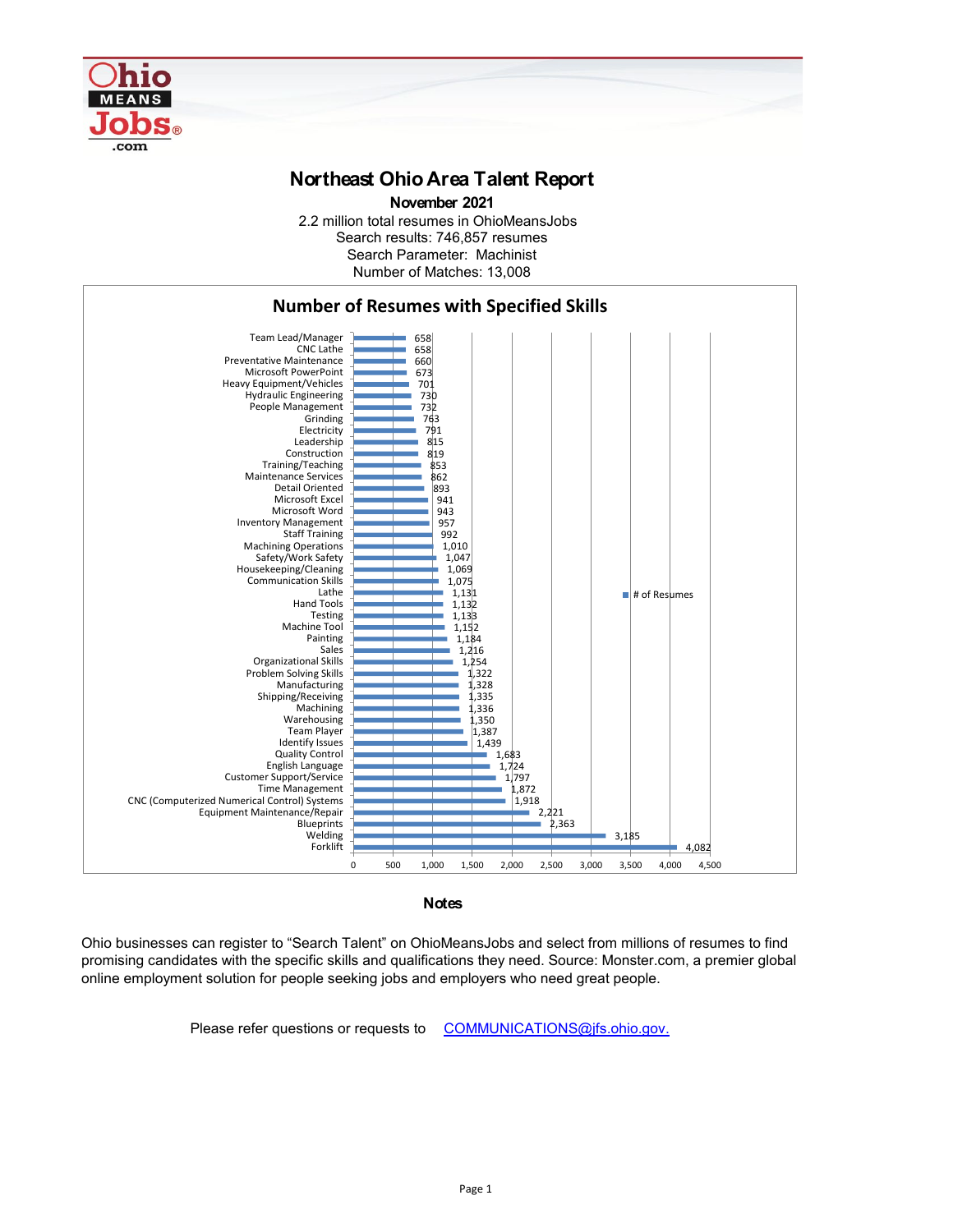

## **Northeast Ohio Area Talent Report**

2.2 million total resumes in OhioMeansJobs Search results: 746,857 resumes Number of Matches: 13,008 Search Parameter: Machinist **November 2021**



**Notes**

Ohio businesses can register to "Search Talent" on OhioMeansJobs and select from millions of resumes to find promising candidates with the specific skills and qualifications they need. Source: Monster.com, a premier global online employment solution for people seeking jobs and employers who need great people.

Please refer questions or requests to [COMMUNICATIONS@jfs.ohio.gov.](mailto:COMMUNICATIONS@jfs.ohio.gov.)